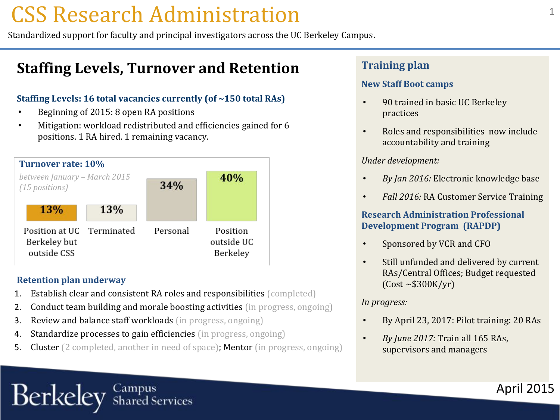### CSS Research Administration

Standardized support for faculty and principal investigators across the UC Berkeley Campus.

### **Staffing Levels, Turnover and Retention**

### **Staffing Levels: 16 total vacancies currently (of ~150 total RAs)**

- Beginning of 2015: 8 open RA positions
- Mitigation: workload redistributed and efficiencies gained for 6 positions. 1 RA hired. 1 remaining vacancy.



#### **Retention plan underway**

Berkeley

- 1. Establish clear and consistent RA roles and responsibilities (completed)
- 2. Conduct team building and morale boosting activities (in progress, ongoing)
- 3. Review and balance staff workloads (in progress, ongoing)
- 4. Standardize processes to gain efficiencies (in progress, ongoing)

Campus<br>Shared Services

5. Cluster (2 completed, another in need of space); Mentor (in progress, ongoing)

### **Training plan**

### **New Staff Boot camps**

- 90 trained in basic UC Berkeley practices
- Roles and responsibilities now include accountability and training

### *Under development:*

- *By Jan 2016:* Electronic knowledge base
- *Fall 2016:* RA Customer Service Training

### **Research Administration Professional Development Program (RAPDP)**

- Sponsored by VCR and CFO
- Still unfunded and delivered by current RAs/Central Offices; Budget requested (Cost ~\$300K/yr)

### *In progress:*

• By April 23, 2017: Pilot training: 20 RAs

April 2015

• *By June 2017:* Train all 165 RAs, supervisors and managers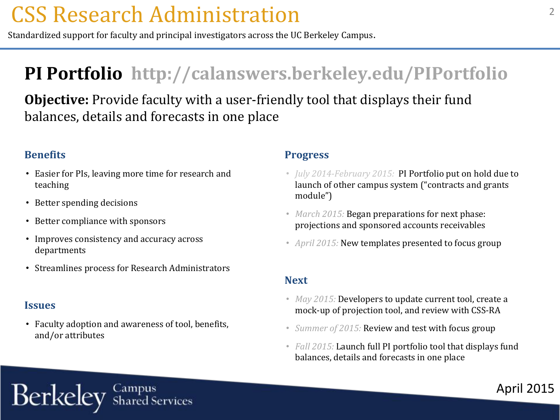## CSS Research Administration

Standardized support for faculty and principal investigators across the UC Berkeley Campus.

### **PI Portfolio http://calanswers.berkeley.edu/PIPortfolio**

**Objective:** Provide faculty with a user-friendly tool that displays their fund balances, details and forecasts in one place

### **Benefits**

- Easier for PIs, leaving more time for research and teaching
- Better spending decisions
- Better compliance with sponsors
- Improves consistency and accuracy across departments
- Streamlines process for Research Administrators

### **Issues**

Berkeley

• Faculty adoption and awareness of tool, benefits, and/or attributes

Campus<br>Shared Services

### **Progress**

- *July 2014-February 2015:* PI Portfolio put on hold due to launch of other campus system ("contracts and grants module")
- *March 2015:* Began preparations for next phase: projections and sponsored accounts receivables
- *April 2015:* New templates presented to focus group

### **Next**

- *May 2015:* Developers to update current tool, create a mock-up of projection tool, and review with CSS-RA
- *Summer of 2015:* Review and test with focus group
- *Fall 2015:* Launch full PI portfolio tool that displays fund balances, details and forecasts in one place

April 2015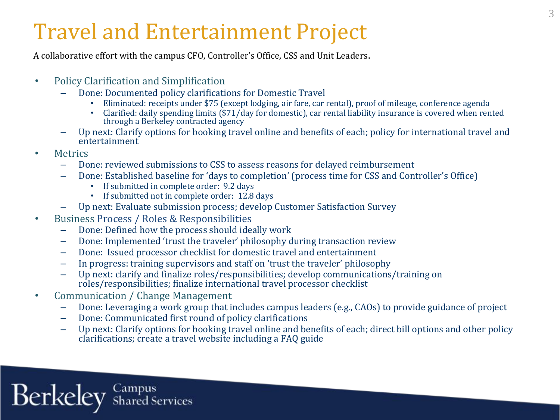# Travel and Entertainment Project

A collaborative effort with the campus CFO, Controller's Office, CSS and Unit Leaders.

- Policy Clarification and Simplification
	- Done: Documented policy clarifications for Domestic Travel
		- Eliminated: receipts under \$75 (except lodging, air fare, car rental), proof of mileage, conference agenda
		- Clarified: daily spending limits (\$71/day for domestic), car rental liability insurance is covered when rented through a Berkeley contracted agency
	- Up next: Clarify options for booking travel online and benefits of each; policy for international travel and entertainment
- Metrics
	- Done: reviewed submissions to CSS to assess reasons for delayed reimbursement
	- Done: Established baseline for 'days to completion' (process time for CSS and Controller's Office)
		- If submitted in complete order: 9.2 days
		- If submitted not in complete order: 12.8 days
	- Up next: Evaluate submission process; develop Customer Satisfaction Survey
- Business Process / Roles & Responsibilities
	- Done: Defined how the process should ideally work
	- Done: Implemented 'trust the traveler' philosophy during transaction review
	- Done: Issued processor checklist for domestic travel and entertainment
	- In progress: training supervisors and staff on 'trust the traveler' philosophy
	- Up next: clarify and finalize roles/responsibilities; develop communications/training on roles/responsibilities; finalize international travel processor checklist
- Communication / Change Management
	- Done: Leveraging a work group that includes campus leaders (e.g., CAOs) to provide guidance of project
	- Done: Communicated first round of policy clarifications
	- Up next: Clarify options for booking travel online and benefits of each; direct bill options and other policy clarifications; create a travel website including a FAQ guide